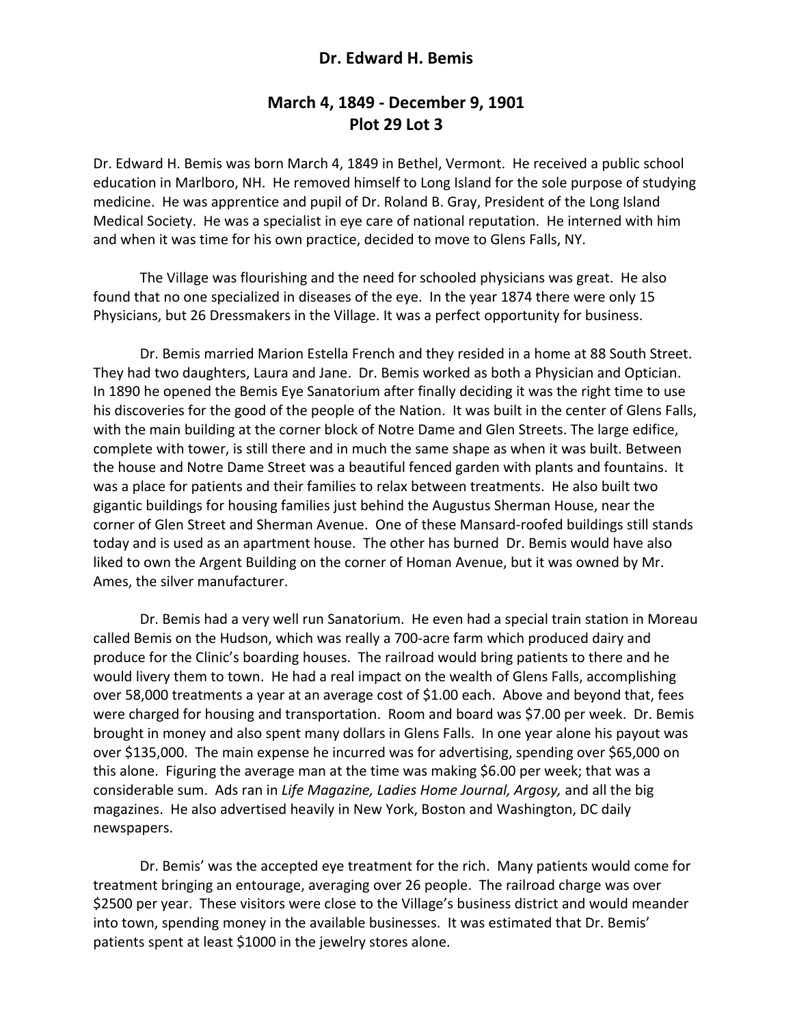## **Dr. Edward H. Bemis**

## **March 4, 1849 ‐ December 9, 1901 Plot 29 Lot 3**

Dr. Edward H. Bemis was born March 4, 1849 in Bethel, Vermont. He received a public school education in Marlboro, NH. He removed himself to Long Island for the sole purpose of studying medicine. He was apprentice and pupil of Dr. Roland B. Gray, President of the Long Island Medical Society. He was a specialist in eye care of national reputation. He interned with him and when it was time for his own practice, decided to move to Glens Falls, NY.

 The Village was flourishing and the need for schooled physicians was great. He also found that no one specialized in diseases of the eye. In the year 1874 there were only 15 Physicians, but 26 Dressmakers in the Village. It was a perfect opportunity for business.

 Dr. Bemis married Marion Estella French and they resided in a home at 88 South Street. They had two daughters, Laura and Jane. Dr. Bemis worked as both a Physician and Optician. In 1890 he opened the Bemis Eye Sanatorium after finally deciding it was the right time to use his discoveries for the good of the people of the Nation. It was built in the center of Glens Falls, with the main building at the corner block of Notre Dame and Glen Streets. The large edifice, complete with tower, is still there and in much the same shape as when it was built. Between the house and Notre Dame Street was a beautiful fenced garden with plants and fountains. It was a place for patients and their families to relax between treatments. He also built two gigantic buildings for housing families just behind the Augustus Sherman House, near the corner of Glen Street and Sherman Avenue. One of these Mansard‐roofed buildings still stands today and is used as an apartment house. The other has burned Dr. Bemis would have also liked to own the Argent Building on the corner of Homan Avenue, but it was owned by Mr. Ames, the silver manufacturer.

 Dr. Bemis had a very well run Sanatorium. He even had a special train station in Moreau called Bemis on the Hudson, which was really a 700‐acre farm which produced dairy and produce for the Clinic's boarding houses. The railroad would bring patients to there and he would livery them to town. He had a real impact on the wealth of Glens Falls, accomplishing over 58,000 treatments a year at an average cost of \$1.00 each. Above and beyond that, fees were charged for housing and transportation. Room and board was \$7.00 per week. Dr. Bemis brought in money and also spent many dollars in Glens Falls. In one year alone his payout was over \$135,000. The main expense he incurred was for advertising, spending over \$65,000 on this alone. Figuring the average man at the time was making \$6.00 per week; that was a considerable sum. Ads ran in *Life Magazine, Ladies Home Journal, Argosy,* and all the big magazines. He also advertised heavily in New York, Boston and Washington, DC daily newspapers.

 Dr. Bemis' was the accepted eye treatment for the rich. Many patients would come for treatment bringing an entourage, averaging over 26 people. The railroad charge was over \$2500 per year. These visitors were close to the Village's business district and would meander into town, spending money in the available businesses. It was estimated that Dr. Bemis' patients spent at least \$1000 in the jewelry stores alone.